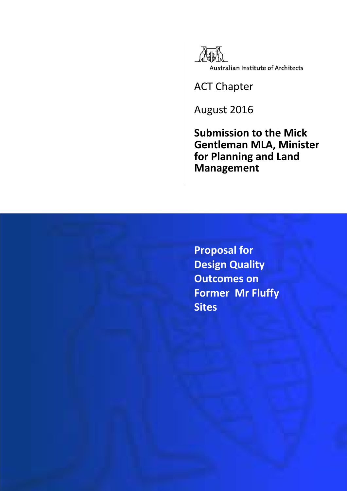

ACT Chapter

August 2016

**Submission to the Mick Gentleman MLA, Minister for Planning and Land Management**

**Proposal for Design Quality Outcomes on Former Mr Fluffy Sites**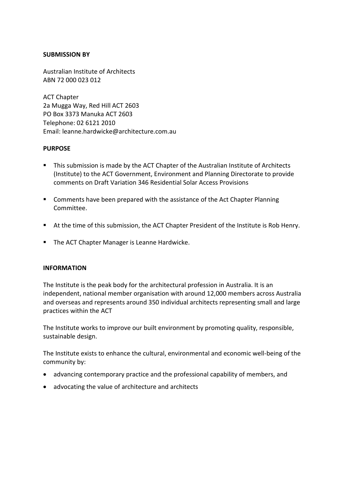### **SUBMISSION BY**

Australian Institute of Architects ABN 72 000 023 012

ACT Chapter 2a Mugga Way, Red Hill ACT 2603 PO Box 3373 Manuka ACT 2603 Telephone: 02 6121 2010 Email: leanne.hardwicke@architecture.com.au

### **PURPOSE**

- **This submission is made by the ACT Chapter of the Australian Institute of Architects** (Institute) to the ACT Government, Environment and Planning Directorate to provide comments on Draft Variation 346 Residential Solar Access Provisions
- **Comments have been prepared with the assistance of the Act Chapter Planning** Committee.
- At the time of this submission, the ACT Chapter President of the Institute is Rob Henry.
- **The ACT Chapter Manager is Leanne Hardwicke.**

#### **INFORMATION**

The Institute is the peak body for the architectural profession in Australia. It is an independent, national member organisation with around 12,000 members across Australia and overseas and represents around 350 individual architects representing small and large practices within the ACT

The Institute works to improve our built environment by promoting quality, responsible, sustainable design.

The Institute exists to enhance the cultural, environmental and economic well-being of the community by:

- advancing contemporary practice and the professional capability of members, and
- advocating the value of architecture and architects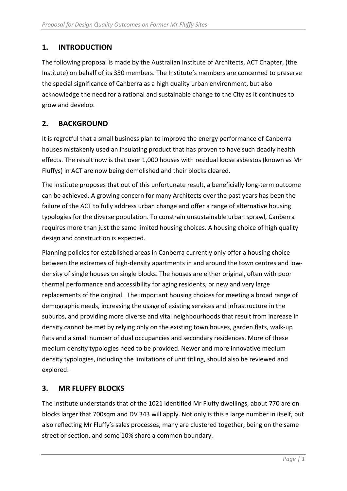## **1. INTRODUCTION**

The following proposal is made by the Australian Institute of Architects, ACT Chapter, (the Institute) on behalf of its 350 members. The Institute's members are concerned to preserve the special significance of Canberra as a high quality urban environment, but also acknowledge the need for a rational and sustainable change to the City as it continues to grow and develop.

## **2. BACKGROUND**

It is regretful that a small business plan to improve the energy performance of Canberra houses mistakenly used an insulating product that has proven to have such deadly health effects. The result now is that over 1,000 houses with residual loose asbestos (known as Mr Fluffys) in ACT are now being demolished and their blocks cleared.

The Institute proposes that out of this unfortunate result, a beneficially long-term outcome can be achieved. A growing concern for many Architects over the past years has been the failure of the ACT to fully address urban change and offer a range of alternative housing typologies for the diverse population. To constrain unsustainable urban sprawl, Canberra requires more than just the same limited housing choices. A housing choice of high quality design and construction is expected.

Planning policies for established areas in Canberra currently only offer a housing choice between the extremes of high-density apartments in and around the town centres and lowdensity of single houses on single blocks. The houses are either original, often with poor thermal performance and accessibility for aging residents, or new and very large replacements of the original. The important housing choices for meeting a broad range of demographic needs, increasing the usage of existing services and infrastructure in the suburbs, and providing more diverse and vital neighbourhoods that result from increase in density cannot be met by relying only on the existing town houses, garden flats, walk-up flats and a small number of dual occupancies and secondary residences. More of these medium density typologies need to be provided. Newer and more innovative medium density typologies, including the limitations of unit titling, should also be reviewed and explored.

# **3. MR FLUFFY BLOCKS**

The Institute understands that of the 1021 identified Mr Fluffy dwellings, about 770 are on blocks larger that 700sqm and DV 343 will apply. Not only is this a large number in itself, but also reflecting Mr Fluffy's sales processes, many are clustered together, being on the same street or section, and some 10% share a common boundary.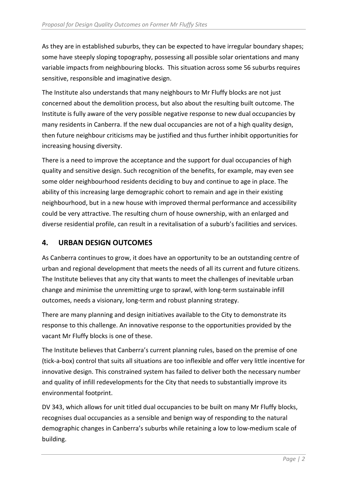As they are in established suburbs, they can be expected to have irregular boundary shapes; some have steeply sloping topography, possessing all possible solar orientations and many variable impacts from neighbouring blocks. This situation across some 56 suburbs requires sensitive, responsible and imaginative design.

The Institute also understands that many neighbours to Mr Fluffy blocks are not just concerned about the demolition process, but also about the resulting built outcome. The Institute is fully aware of the very possible negative response to new dual occupancies by many residents in Canberra. If the new dual occupancies are not of a high quality design, then future neighbour criticisms may be justified and thus further inhibit opportunities for increasing housing diversity.

There is a need to improve the acceptance and the support for dual occupancies of high quality and sensitive design. Such recognition of the benefits, for example, may even see some older neighbourhood residents deciding to buy and continue to age in place. The ability of this increasing large demographic cohort to remain and age in their existing neighbourhood, but in a new house with improved thermal performance and accessibility could be very attractive. The resulting churn of house ownership, with an enlarged and diverse residential profile, can result in a revitalisation of a suburb's facilities and services.

# **4. URBAN DESIGN OUTCOMES**

As Canberra continues to grow, it does have an opportunity to be an outstanding centre of urban and regional development that meets the needs of all its current and future citizens. The Institute believes that any city that wants to meet the challenges of inevitable urban change and minimise the unremitting urge to sprawl, with long-term sustainable infill outcomes, needs a visionary, long-term and robust planning strategy.

There are many planning and design initiatives available to the City to demonstrate its response to this challenge. An innovative response to the opportunities provided by the vacant Mr Fluffy blocks is one of these.

The Institute believes that Canberra's current planning rules, based on the premise of one (tick-a-box) control that suits all situations are too inflexible and offer very little incentive for innovative design. This constrained system has failed to deliver both the necessary number and quality of infill redevelopments for the City that needs to substantially improve its environmental footprint.

DV 343, which allows for unit titled dual occupancies to be built on many Mr Fluffy blocks, recognises dual occupancies as a sensible and benign way of responding to the natural demographic changes in Canberra's suburbs while retaining a low to low-medium scale of building.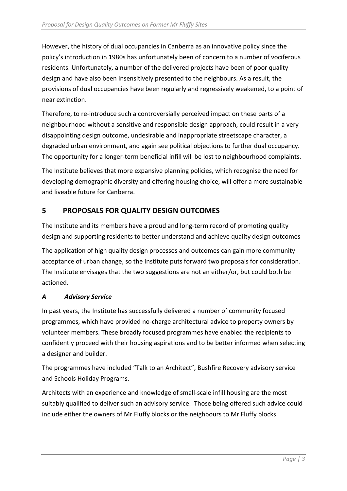However, the history of dual occupancies in Canberra as an innovative policy since the policy's introduction in 1980s has unfortunately been of concern to a number of vociferous residents. Unfortunately, a number of the delivered projects have been of poor quality design and have also been insensitively presented to the neighbours. As a result, the provisions of dual occupancies have been regularly and regressively weakened, to a point of near extinction.

Therefore, to re-introduce such a controversially perceived impact on these parts of a neighbourhood without a sensitive and responsible design approach, could result in a very disappointing design outcome, undesirable and inappropriate streetscape character, a degraded urban environment, and again see political objections to further dual occupancy. The opportunity for a longer-term beneficial infill will be lost to neighbourhood complaints.

The Institute believes that more expansive planning policies, which recognise the need for developing demographic diversity and offering housing choice, will offer a more sustainable and liveable future for Canberra.

## **5 PROPOSALS FOR QUALITY DESIGN OUTCOMES**

The Institute and its members have a proud and long-term record of promoting quality design and supporting residents to better understand and achieve quality design outcomes The application of high quality design processes and outcomes can gain more community

acceptance of urban change, so the Institute puts forward two proposals for consideration. The Institute envisages that the two suggestions are not an either/or, but could both be actioned.

## *A Advisory Service*

In past years, the Institute has successfully delivered a number of community focused programmes, which have provided no-charge architectural advice to property owners by volunteer members. These broadly focused programmes have enabled the recipients to confidently proceed with their housing aspirations and to be better informed when selecting a designer and builder.

The programmes have included "Talk to an Architect", Bushfire Recovery advisory service and Schools Holiday Programs.

Architects with an experience and knowledge of small-scale infill housing are the most suitably qualified to deliver such an advisory service. Those being offered such advice could include either the owners of Mr Fluffy blocks or the neighbours to Mr Fluffy blocks.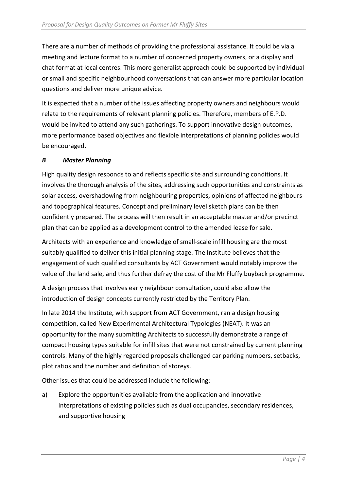There are a number of methods of providing the professional assistance. It could be via a meeting and lecture format to a number of concerned property owners, or a display and chat format at local centres. This more generalist approach could be supported by individual or small and specific neighbourhood conversations that can answer more particular location questions and deliver more unique advice.

It is expected that a number of the issues affecting property owners and neighbours would relate to the requirements of relevant planning policies. Therefore, members of E.P.D. would be invited to attend any such gatherings. To support innovative design outcomes, more performance based objectives and flexible interpretations of planning policies would be encouraged.

## *B Master Planning*

High quality design responds to and reflects specific site and surrounding conditions. It involves the thorough analysis of the sites, addressing such opportunities and constraints as solar access, overshadowing from neighbouring properties, opinions of affected neighbours and topographical features. Concept and preliminary level sketch plans can be then confidently prepared. The process will then result in an acceptable master and/or precinct plan that can be applied as a development control to the amended lease for sale.

Architects with an experience and knowledge of small-scale infill housing are the most suitably qualified to deliver this initial planning stage. The Institute believes that the engagement of such qualified consultants by ACT Government would notably improve the value of the land sale, and thus further defray the cost of the Mr Fluffy buyback programme.

A design process that involves early neighbour consultation, could also allow the introduction of design concepts currently restricted by the Territory Plan.

In late 2014 the Institute, with support from ACT Government, ran a design housing competition, called New Experimental Architectural Typologies (NEAT). It was an opportunity for the many submitting Architects to successfully demonstrate a range of compact housing types suitable for infill sites that were not constrained by current planning controls. Many of the highly regarded proposals challenged car parking numbers, setbacks, plot ratios and the number and definition of storeys.

Other issues that could be addressed include the following:

a) Explore the opportunities available from the application and innovative interpretations of existing policies such as dual occupancies, secondary residences, and supportive housing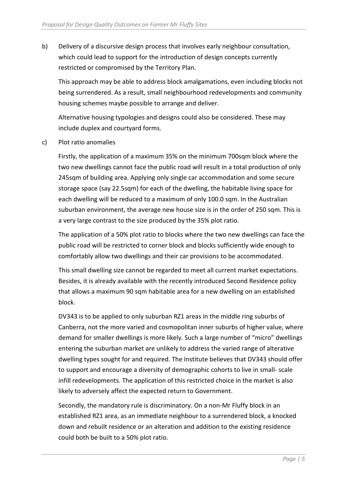b) Delivery of a discursive design process that involves early neighbour consultation, which could lead to support for the introduction of design concepts currently restricted or compromised by the Territory Plan.

This approach may be able to address block amalgamations, even including blocks not being surrendered. As a result, small neighbourhood redevelopments and community housing schemes maybe possible to arrange and deliver.

Alternative housing typologies and designs could also be considered. These may include duplex and courtyard forms.

c) Plot ratio anomalies

Firstly, the application of a maximum 35% on the minimum 700sqm block where the two new dwellings cannot face the public road will result in a total production of only 245sqm of building area. Applying only single car accommodation and some secure storage space (say 22.5sqm) for each of the dwelling, the habitable living space for each dwelling will be reduced to a maximum of only 100.0 sqm. In the Australian suburban environment, the average new house size is in the order of 250 sqm. This is a very large contrast to the size produced by the 35% plot ratio.

The application of a 50% plot ratio to blocks where the two new dwellings can face the public road will be restricted to corner block and blocks sufficiently wide enough to comfortably allow two dwellings and their car provisions to be accommodated.

This small dwelling size cannot be regarded to meet all current market expectations. Besides, it is already available with the recently introduced Second Residence policy that allows a maximum 90 sqm habitable area for a new dwelling on an established block.

DV343 is to be applied to only suburban RZ1 areas in the middle ring suburbs of Canberra, not the more varied and cosmopolitan inner suburbs of higher value, where demand for smaller dwellings is more likely. Such a large number of "micro" dwellings entering the suburban market are unlikely to address the varied range of alterative dwelling types sought for and required. The Institute believes that DV343 should offer to support and encourage a diversity of demographic cohorts to live in small- scale infill redevelopments. The application of this restricted choice in the market is also likely to adversely affect the expected return to Government.

Secondly, the mandatory rule is discriminatory. On a non-Mr Fluffy block in an established RZ1 area, as an immediate neighbour to a surrendered block, a knocked down and rebuilt residence or an alteration and addition to the existing residence could both be built to a 50% plot ratio.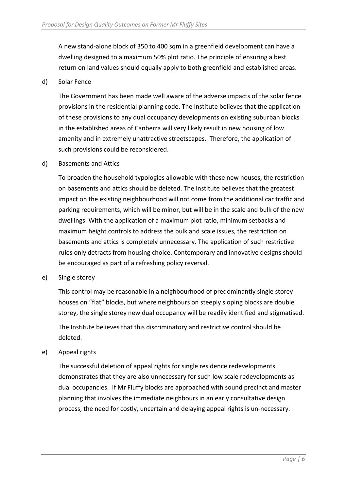A new stand-alone block of 350 to 400 sqm in a greenfield development can have a dwelling designed to a maximum 50% plot ratio. The principle of ensuring a best return on land values should equally apply to both greenfield and established areas.

### d) Solar Fence

The Government has been made well aware of the adverse impacts of the solar fence provisions in the residential planning code. The Institute believes that the application of these provisions to any dual occupancy developments on existing suburban blocks in the established areas of Canberra will very likely result in new housing of low amenity and in extremely unattractive streetscapes. Therefore, the application of such provisions could be reconsidered.

### d) Basements and Attics

To broaden the household typologies allowable with these new houses, the restriction on basements and attics should be deleted. The Institute believes that the greatest impact on the existing neighbourhood will not come from the additional car traffic and parking requirements, which will be minor, but will be in the scale and bulk of the new dwellings. With the application of a maximum plot ratio, minimum setbacks and maximum height controls to address the bulk and scale issues, the restriction on basements and attics is completely unnecessary. The application of such restrictive rules only detracts from housing choice. Contemporary and innovative designs should be encouraged as part of a refreshing policy reversal.

#### e) Single storey

This control may be reasonable in a neighbourhood of predominantly single storey houses on "flat" blocks, but where neighbours on steeply sloping blocks are double storey, the single storey new dual occupancy will be readily identified and stigmatised.

The Institute believes that this discriminatory and restrictive control should be deleted.

### e) Appeal rights

The successful deletion of appeal rights for single residence redevelopments demonstrates that they are also unnecessary for such low scale redevelopments as dual occupancies. If Mr Fluffy blocks are approached with sound precinct and master planning that involves the immediate neighbours in an early consultative design process, the need for costly, uncertain and delaying appeal rights is un-necessary.